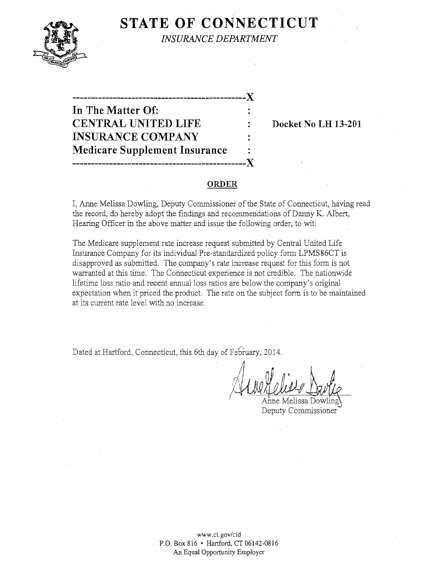

**STATE OF CONNECTICUT** 

*INSURANCE DEPARTMENT* 

# **-----------------------------------------------)( In The Matter Of: CENTRAL UNITED LIFE : Docket No LH 13-201 INSURANCE COMPANY Medicare Supplement Insurance -----------------------------------------------)(**

#### **ORDER**

I, Anne Melissa Dowling, Deputy Commissioner of the State of Connecticut, having read the record, do hereby adopt the findings and recommendations of Danny K. Albert, Hearing Officer in the above matter and issue the following order, to wit:

The Medicare supplement rate increase request submitted by Central United Life Insurance Company for its individual Pre-standardized policy form LPMS86CT is disapproved as submitted. The company's rate increase request for this form is not warranted at this time. The Connecticut experience is not credible. The nationwide lifetime loss ratio and recent annual loss ratios are below the company's original expectation when it priced the product. The rate on the subject form is to be maintained at its current rate level with no increase.

Dated at Hartford, Connecticut, this 6th day of February, 2014.

" Anne Melissa Dowling  $\frac{1}{\sqrt{2}}$ 

Deputy Commissioner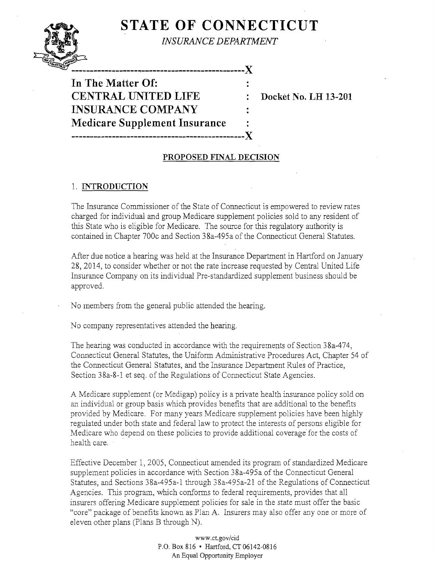# **STATE OF CONNECTICUT**



*INSURANCE DEPARTMENT* 

**-----------------------------------------------J( In The Matter Of: CENTRAL UNITED LIFE : Docket No. LH 13-201 INSURANCE COMPANY Medicare Supplement Insurance -----------------------------------------------J(** 

## **PROPOSED FINAL DECISION**

#### 1. **INTRODUCTION**

The Insurance Commissioner of the State of Connecticut is empowered to review rates charged for individual and group Medicare supplement policies sold to any resident of this State who is eligible for Medicare. The source for this regulatory authority is contained in Chapter 700c and Section 38a-495a of the Connecticut General Statutes.

After due notice a hearing was held at the Insurance Department in Hartford on January 28, 2014, to consider whether or not the rate increase requested by Central United Life Insurance Company on its individual Pre-standardized supplement business should be approved.

No members from the general public attended the hearing.

No company representatives attended the hearing.

The hearing was conducted in accordance with the requirements of Section 38a-474, Connecticut General Statutes, the Uniform Administrative Procedures Act, Chapter 54 of the Connecticut General Statutes, and the Insurance Department Rules of Practice, Section 38a-8-1 et seq. of the Regulations of Connecticut State Agencies.

A Medicare supplement (or Medigap) policy is a private health insurance policy sold on an individual or group basis which provides benefits that are additional to the benefits provided by Medicare. For many years Medicare supplement policies have been highly regulated under both state and federal law to protect the interests of persons eligible for Medicare who depend on these policies to provide additional coverage for the costs of health care.

Effective December 1,2005, Connecticut amended its program of standardized Medicare supplement policies in accordance with Section 38a-495a of the Connecticut General Statutes, and Sections 38a-495a-1 through 38a-495a-21 of the Regulations of Connecticut Agencies. This program, which conforms to federal requirements, provides that all insurers offering Medicare supplement policies for sale in the state must offer the basic "core" package of benefits known as Plan A. Insurers may also offer anyone or more of eleven other plans (Plans B through N).

> www.ct.gov/cid P.O. Box 816 • Hartford, CT 06142-0816 An Equal Opportunity Employer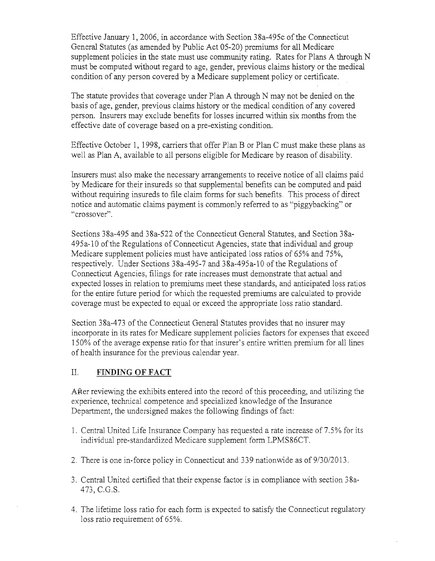Effective January 1,2006, in accordance with Section 38a-495c ofthe Connecticut General Statutes (as amended by Public Act 05-20) premiums for all Medicare supplement policies in the state must use community rating. Rates for Plans A through N must be computed without regard to age, gender, previous claims history or the medical condition of any person covered by a Medicare supplement policy or certificate.

The statute provides that coverage under Plan A through N may not be denied on the basis of age, gender, previous claims history or the medical condition of any covered person. Insurers may exclude benefits for losses incurred within six months from the effective date of coverage based on a pre-existing condition.

Effective October 1, 1998, carriers that offer Plan B or Plan C must make these plans as well as Plan A, available to all persons eligible for Medicare by reason of disability.

Insurers must also make the necessary arrangements to receive notice of all claims paid by Medicare for their insureds so that supplemental benefits can be computed and paid without requiring insureds to file claim forms for such benefits. This process of direct notice and automatic claims payment is commonly referred to as "piggybacking" or "crossover".

Sections 38a-495 and 38a-522 of the Connecticut General Statutes, and Section 38a-495a-10 of the Regulations of Connecticut Agencies, state that individual and group Medicare supplement policies must have anticipated loss ratios of 65% and 75%, respectively. Under Sections 38a-495-7 and 38a-495a-l0 of the Regulations of Connecticut Agencies, filings for rate increases must demonstrate that actual and expected losses in relation to premiums meet these standards, and anticipated loss ratios for the entire future period for which the requested premiums are calculated to provide coverage must be expected to equal or exceed the appropriate loss ratio standard.

Section 38a-473 of the Connecticut General Statutes provides that no insurer may incorporate in its rates for Medicare supplement policies factors for expenses that exceed 150% of the average expense ratio for that insurer's entire written premium for all lines of health insurance for the previous calendar year.

### II. **FINDING OF FACT**

After reviewing the exhibits entered into the record of this proceeding, and utilizing the experience, technical competence and specialized knowledge of the Insurance Department, the undersigned makes the following findings of fact:

- 1. Central United Life Insurance Company has requested a rate increase of 7.5% for its individual pre-standardized Medicare supplement form LPMS86CT.
- 2. There is one in-force policy in Connecticut and 339 nationwide as of 9/30/2013.
- 3. Central United certified that their expense factor is in compliance with section 38a-473, e.G.S.
- 4. The lifetime loss ratio for each form is expected to satisfy the Connecticut regulatory loss ratio requirement of 65%.